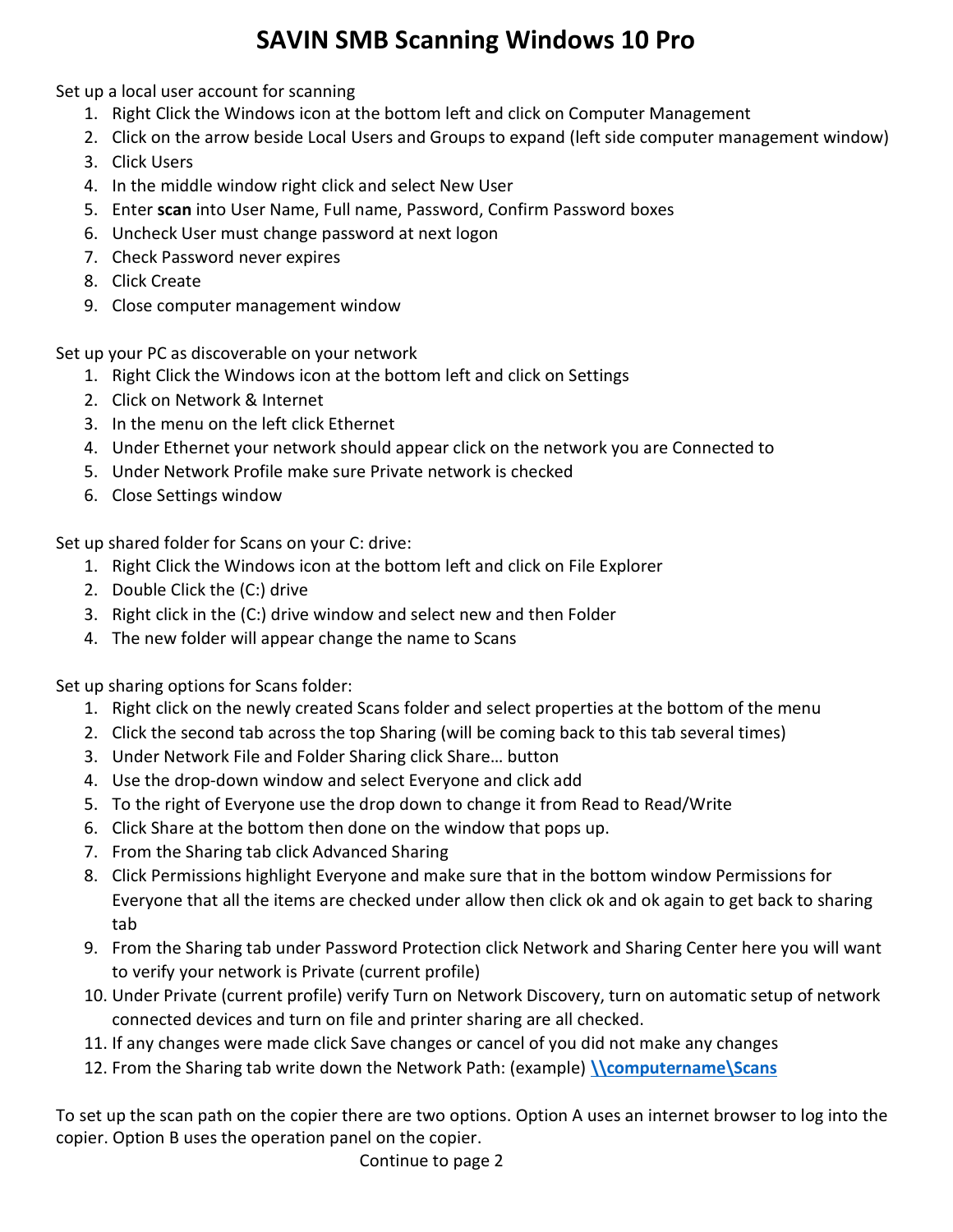## SAVIN SMB Scanning Windows 10 Pro

Set up a local user account for scanning

- 1. Right Click the Windows icon at the bottom left and click on Computer Management
- 2. Click on the arrow beside Local Users and Groups to expand (left side computer management window)
- 3. Click Users
- 4. In the middle window right click and select New User
- 5. Enter scan into User Name, Full name, Password, Confirm Password boxes
- 6. Uncheck User must change password at next logon
- 7. Check Password never expires
- 8. Click Create
- 9. Close computer management window

Set up your PC as discoverable on your network

- 1. Right Click the Windows icon at the bottom left and click on Settings
- 2. Click on Network & Internet
- 3. In the menu on the left click Ethernet
- 4. Under Ethernet your network should appear click on the network you are Connected to
- 5. Under Network Profile make sure Private network is checked
- 6. Close Settings window

Set up shared folder for Scans on your C: drive:

- 1. Right Click the Windows icon at the bottom left and click on File Explorer
- 2. Double Click the (C:) drive
- 3. Right click in the (C:) drive window and select new and then Folder
- 4. The new folder will appear change the name to Scans

Set up sharing options for Scans folder:

- 1. Right click on the newly created Scans folder and select properties at the bottom of the menu
- 2. Click the second tab across the top Sharing (will be coming back to this tab several times)
- 3. Under Network File and Folder Sharing click Share… button
- 4. Use the drop-down window and select Everyone and click add
- 5. To the right of Everyone use the drop down to change it from Read to Read/Write
- 6. Click Share at the bottom then done on the window that pops up.
- 7. From the Sharing tab click Advanced Sharing
- 8. Click Permissions highlight Everyone and make sure that in the bottom window Permissions for Everyone that all the items are checked under allow then click ok and ok again to get back to sharing tab
- 9. From the Sharing tab under Password Protection click Network and Sharing Center here you will want to verify your network is Private (current profile)
- 10. Under Private (current profile) verify Turn on Network Discovery, turn on automatic setup of network connected devices and turn on file and printer sharing are all checked.
- 11. If any changes were made click Save changes or cancel of you did not make any changes
- 12. From the Sharing tab write down the Network Path: (example) \\computername\Scans

To set up the scan path on the copier there are two options. Option A uses an internet browser to log into the copier. Option B uses the operation panel on the copier.

Continue to page 2